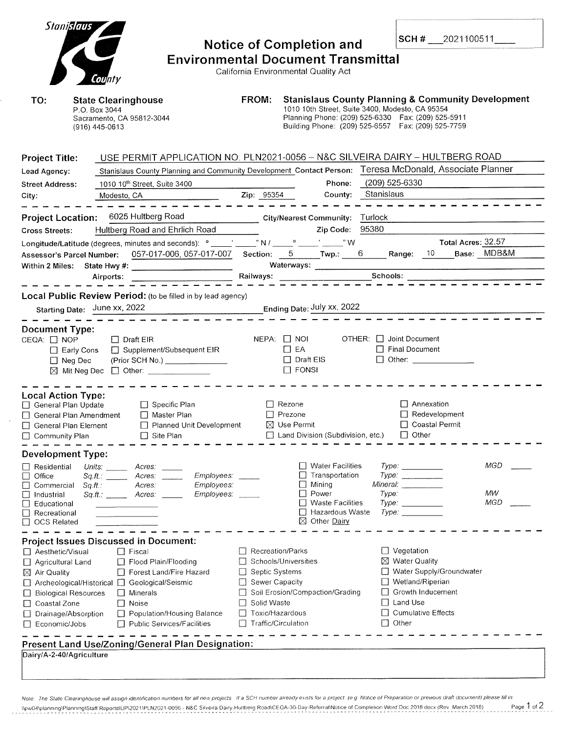| Stanislaus<br>TO:                                                                                                                                                                    | County<br><b>State Clearinghouse</b><br>P.O. Box 3044<br>Sacramento, CA 95812-3044<br>(916) 445-0613                                                                                                                                                                                                                                                      | FROM:                                                                                                                         | <b>Notice of Completion and</b><br><b>Environmental Document Transmittal</b><br>California Environmental Quality Act                                    | <b>SCH #</b> $2021100511$<br><b>Stanislaus County Planning &amp; Community Development</b><br>1010 10th Street, Suite 3400, Modesto, CA 95354<br>Planning Phone: (209) 525-6330  Fax: (209) 525-5911<br>Building Phone: (209) 525-6557  Fax: (209) 525-7759 |                                |
|--------------------------------------------------------------------------------------------------------------------------------------------------------------------------------------|-----------------------------------------------------------------------------------------------------------------------------------------------------------------------------------------------------------------------------------------------------------------------------------------------------------------------------------------------------------|-------------------------------------------------------------------------------------------------------------------------------|---------------------------------------------------------------------------------------------------------------------------------------------------------|-------------------------------------------------------------------------------------------------------------------------------------------------------------------------------------------------------------------------------------------------------------|--------------------------------|
| <b>Project Title:</b><br>Lead Agency:<br><b>Street Address:</b><br>City:                                                                                                             | USE PERMIT APPLICATION NO. PLN2021-0056 - N&C SILVEIRA DAIRY - HULTBERG ROAD<br>Stanislaus County Planning and Community Development Contact Person: Teresa McDonald, Associate Planner<br>1010 10 <sup>th</sup> Street, Suite 3400<br>Modesto, CA <b>Modesto</b> , CA                                                                                    | Zip: 95354                                                                                                                    | Phone:<br>County: Stanislaus                                                                                                                            | (209) 525-6330                                                                                                                                                                                                                                              |                                |
| <b>Cross Streets:</b>                                                                                                                                                                | Project Location: 6025 Hultberg Road<br>Hultberg Road and Ehrlich Road<br>Longitude/Latitude (degrees, minutes and seconds): $^{\circ}$ ______,' N / ______ <sup>o</sup> _____,' _____," W<br>Assessor's Parcel Number: 057-017-006, 057-017-007 Section: 5 Twp.: 6 Range: 10 Base: MDB&M<br>Local Public Review Period: (to be filled in by lead agency) |                                                                                                                               | City/Nearest Community: Turlock<br>Zip Code:<br>Waterways:                                                                                              | 95380                                                                                                                                                                                                                                                       | Total Acres: 32.57             |
| <b>Document Type:</b><br>CEQA: □ NOP<br>$\Box$ Neg Dec                                                                                                                               | Starting Date: June xx, 2022<br>$\Box$ Draft EIR<br>□ Early Cons □ Supplement/Subsequent EIR<br>(Prior SCH No.) _______________<br>⊠ Mit Neg Dec □ Other: _____________                                                                                                                                                                                   |                                                                                                                               | Ending Date: July xx, 2022<br>$NEPA:$ $\Box$ NOI<br>$\Box$ EA<br>$\Box$ Draft EIS<br>$\Box$ FONSI                                                       | $OTHER: \Box$ Joint Document<br>□ Final Document<br>□ Other: _____________                                                                                                                                                                                  |                                |
| <b>Local Action Type:</b><br>□ General Plan Update<br>$\Box$ General Plan Amendment<br>General Plan Element<br>□ Community Plan                                                      | $\Box$ Specific Plan<br>Master Plan<br>Planned Unit Development<br>$\Box$ Site Plan                                                                                                                                                                                                                                                                       |                                                                                                                               | $\Box$ Rezone<br>$\Box$ Prezone<br>⊠ Use Permit<br>Land Division (Subdivision, etc.)                                                                    | $\Box$ Annexation<br>$\Box$ Redevelopment<br>□ Coastal Permit<br>$\Box$ Other                                                                                                                                                                               |                                |
| <b>Development Type:</b><br>Residential<br>□<br>Office<br>Commercial<br>ப<br>Industrial<br>$\Box$<br>Educational<br>Recreational<br>⊔<br><b>OCS Related</b>                          | Units: <b>Minutes</b><br>Acres:<br>Employees:<br>Acres:<br>$\mathcal S\mathcal q.\mathcal f\!!$ . The state $\mathcal S$<br>Employees:<br>Sq.H.<br>Acres:<br>Sq.ft.: Acres:<br>Employees:                                                                                                                                                                 |                                                                                                                               | $\Box$ Water Facilities<br>Transportation<br>$\Box$ Mining<br>Power<br>$\perp$<br><b>Waste Facilities</b><br>Hazardous Waste<br>$\boxtimes$ Other Dairy | $Type: \_\_$<br>Type:<br>Mineral: Mineral Antonio<br>Type:<br>Type.<br>Type.                                                                                                                                                                                | <b>MGD</b><br>MW<br><b>MGD</b> |
| □ Aesthetic/Visual<br>□ Agricultural Land<br>$\boxtimes$ Air Quality<br>□ Biological Resources<br>□ Coastal Zone<br>Drainage/Absorption<br>Economic/Jobs<br>Dairy/A-2-40/Agriculture | <b>Project Issues Discussed in Document:</b><br>    Fiscal<br>Flood Plain/Flooding<br>Forest Land/Fire Hazard<br>□ Archeological/Historical □ Geological/Seismic<br>    Minerals<br>$\Box$ Noise<br>Population/Housing Balance<br>Public Services/Facilities<br>Present Land Use/Zoning/General Plan Designation:                                         | Recreation/Parks<br>$\perp$<br>Septic Systems<br>⊔<br>Sewer Capacity<br>Solid Waste<br>Toxic/Hazardous<br>Traffic/Circulation | Schools/Universities<br>Soil Erosion/Compaction/Grading                                                                                                 | $\Box$ Vegetation<br>⊠ Water Quality<br>Water Supply/Groundwater<br>Wetland/Riperian<br>Growth Inducement<br>Land Use<br><b>Cumulative Effects</b><br>$\Box$<br>Other<br>$\perp$                                                                            |                                |

Note: The State Clearinghouse will assign identification numbers for all new projects If a SCH number already exists for a project, (e.g. Notice of Preparation or previous draft document) please fill in. \\pw04\planning\Plannrng\Staff Reports\UP120211PLN2021-0056 N&C Silveira Darry-Hultberg RoadlCEOA-30-Day-Referral\Notice of Completron Word Doc 2018 docx (Rev March 2018) Page **1** of **2**